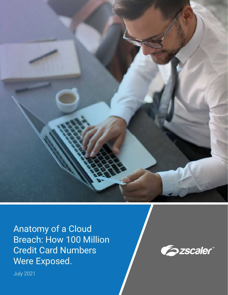

Anatomy of a Cloud Breach: How 100 Million Credit Card Numbers Were Exposed.



July 2021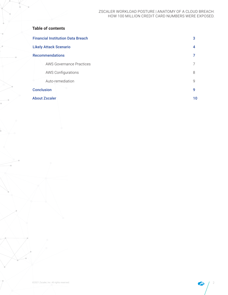## **Table of contents**

| <b>Financial Institution Data Breach</b> |              |  |
|------------------------------------------|--------------|--|
| <b>Likely Attack Scenario</b>            |              |  |
| <b>Recommendations</b>                   |              |  |
| <b>AWS Governance Practices</b>          |              |  |
| <b>AWS Configurations</b>                | 8            |  |
| Auto-remediation                         | $\mathsf{Q}$ |  |
| <b>Conclusion</b>                        | 9            |  |
| <b>About Zscaler</b>                     | 10           |  |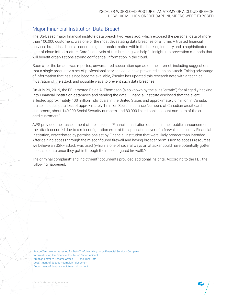# Major Financial Institution Data Breach

The US-Based major financial institute data breach two years ago, which exposed the personal data of more than 100,000 customers, was one of the most devastating data breaches of all time. A trusted financial services brand, has been a leader in digital transformation within the banking industry and a sophisticated user of cloud infrastructure. Careful analysis of this breach gives helpful insight into prevention methods that will benefit organizations storing confidential information in the cloud.

Soon after the breach was reported, unwarranted speculation spread on the internet, including suggestions that a single product or a set of professional services could have prevented such an attack. Taking advantage of information that has since become available, Zscaler has updated this research note with a technical illustration of the attack and possible ways to prevent such data breaches.

On July 29, 2019, the FBI arrested Paige A. Thompson (also known by the alias "erratic") for allegedly hacking into Financial Institution databases and stealing the data<sup>1</sup>. Financial Institute disclosed that the event affected approximately 100 million individuals in the United States and approximately 6 million in Canada. It also includes data loss of approximately 1 million Social Insurance Numbers of Canadian credit card customers, about 140,000 Social Security numbers, and 80,000 linked bank account numbers of the credit card customers<sup>2</sup>.

AWS provided their assessment of the incident: "Financial Institution outlined in their public announcement, the attack occurred due to a misconfiguration error at the application layer of a firewall installed by Financial Institution, exacerbated by permissions set by Financial Institution that were likely broader than intended. After gaining access through the misconfigured firewall and having broader permission to access resources, we believe an SSRF attack was used (which is one of several ways an attacker could have potentially gotten access to data once they got in through the misconfigured firewall)."<sup>3</sup>

The criminal complaint<sup>4</sup> and indictment<sup>5</sup> documents provided additional insights. According to the FBI, the following happened.

Seattle Tech Worker Arrested for Data Theft Involving Large Financial Services [Company](https://www.justice.gov/usao-wdwa/pr/seattle-tech-worker-arrested-data-theft-involving-large-financial-services-company) [Information](https://www.capitalone.com/digital/facts2019/) on the Financial Institution Cyber Incident Amazon Letter to Senator Wyden RE [Consumer](https://www.wyden.senate.gov/imo/media/doc/081319%20Amazon%20Letter%20to%20Sen%20Wyden%20RE%20Consumer%20Data.pdf) Data [4Department](https://www.justice.gov/usao-wdwa/press-release/file/1188626/download) of Justice - complaint document [Department](https://www.justice.gov/usao-wdwa/press-release/file/1198481/download) of Justice - indictment document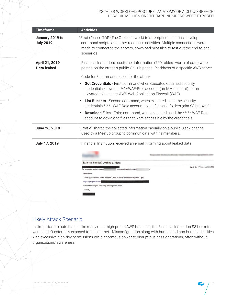| <b>Timeframe</b>                     | <b>Activities</b>                                                                                                                                                                                                                                                                                                                                                                                                                                                                                                                                                                                                                                                                                                                                   |
|--------------------------------------|-----------------------------------------------------------------------------------------------------------------------------------------------------------------------------------------------------------------------------------------------------------------------------------------------------------------------------------------------------------------------------------------------------------------------------------------------------------------------------------------------------------------------------------------------------------------------------------------------------------------------------------------------------------------------------------------------------------------------------------------------------|
| January 2019 to<br><b>July 2019</b>  | "Erratic" used TOR (The Onion network) to attempt connections, develop<br>command scripts and other readiness activities. Multiple connections were<br>made to connect to the servers, download pilot files to test out the end-to-end<br>scenarios                                                                                                                                                                                                                                                                                                                                                                                                                                                                                                 |
| April 21, 2019<br><b>Data leaked</b> | Financial Institution's customer information (700 folders worth of data) were<br>posted on the erratic's public GitHub pages IP address of a specific AWS server<br>Code for 3 commands used for the attack<br>Get Credentials - First command when executed obtained security<br>credentials known as ****-WAF-Role account (an IAM account) for an<br>elevated role access AWS Web Application Firewall (WAF)<br>List Buckets - Second command, when executed, used the security<br>$\bullet$<br>credentials *****-WAF-Role account to list files and folders (aka S3 buckets)<br><b>Download Files</b> - Third command, when executed used the *****-WAF-Role<br>$\bullet$<br>account to download files that were accessible by the credentials. |
| June 26, 2019                        | "Erratic" shared the collected information casually on a public Slack channel<br>used by a Meetup group to communicate with its members.                                                                                                                                                                                                                                                                                                                                                                                                                                                                                                                                                                                                            |
| <b>July 17, 2019</b>                 | Financial Institution received an email informing about leaked data<br>[External Sender] Leaked s3 data<br>Wed, Jul 17, 2019 at 1:25 AM<br>To: "responsibledisclosure@<br>responsibledisclosure@<br>Hello there,<br>There appears to be some leaked s3 data of yours in someone's github / gist:<br>https://gist.github.com<br>Let me know if you want help tracking them down.<br>Thanks,                                                                                                                                                                                                                                                                                                                                                          |

## Likely Attack Scenario

It's important to note that, unlike many other high-profile AWS breaches, the Financial Institution S3 buckets were not left externally exposed to the internet. Misconfiguration along with human and non-human identities with excessive high-risk permissions wield enormous power to disrupt business operations, often without organizations' awareness.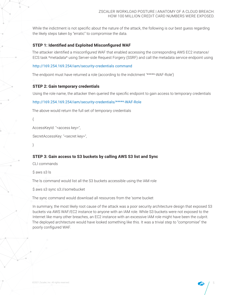While the indictment is not specific about the nature of the attack, the following is our best guess regarding the likely steps taken by "erratic" to compromise the data.

### **STEP 1: Identified and Exploited Misconfigured WAF**

The attacker identified a misconfigured WAF that enabled accessing the corresponding AWS EC2 instance/ ECS task \*metadata\* using Server-side Request Forgery (SSRF) and call the metadata service endpoint using

### [http://169.254.169.254/iam/security-credentials command](http://169.254.169.254/iam/security-credentialsT)

The endpoint must have returned a role (according to the indictment '\*\*\*\*\*-WAF-Role')

### **STEP 2: Gain temporary credentials**

Using the role name, the attacker then queried the specific endpoint to gain access to temporary credentials

#### [http://169.254.169.254/iam/security-credentials/\\*\\*\\*\\*\\*-WAF-Role](http://169.254.169.254/iam/security-credentials/*****-WAF-Role)

The above would return the full set of temporary credentials

{

AccessKeyId: "<access key>",

```
SecretAccessKey: "<secret key>",
```
}

## **STEP 3: Gain access to S3 buckets by calling AWS S3 list and Sync**

CLI commands

\$ aws s3 ls

The ls command would list all the S3 buckets accessible using the IAM role

\$ aws s3 sync s3://somebucket

The sync command would download all resources from the 'some bucket

In summary, the most likely root cause of the attack was a poor security architecture design that exposed S3 buckets via AWS WAF/EC2 instance to anyone with an IAM role. While S3 buckets were not exposed to the Internet like many other breaches, an EC2 instance with an excessive IAM role might have been the culprit. The deployed architecture would have looked something like this. It was a trivial step to "compromise" the poorly configured WAF.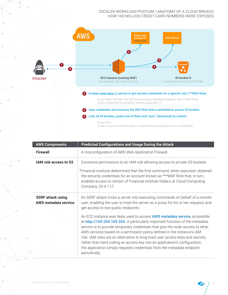

| <b>AWS Components</b>                            | <b>Predicted Configurations and Usage During the Attack</b>                                                                                                                                                                                                                                                                                                                                                                                                                                                                                                                        |
|--------------------------------------------------|------------------------------------------------------------------------------------------------------------------------------------------------------------------------------------------------------------------------------------------------------------------------------------------------------------------------------------------------------------------------------------------------------------------------------------------------------------------------------------------------------------------------------------------------------------------------------------|
| <b>Firewall</b>                                  | A misconfiguration of AWS Web Application Firewall.                                                                                                                                                                                                                                                                                                                                                                                                                                                                                                                                |
| IAM role access to S3                            | Excessive permissions to an IAM role allowing access to private S3 buckets                                                                                                                                                                                                                                                                                                                                                                                                                                                                                                         |
|                                                  | "Financial Institute determined that the first command, when executed, obtained<br>the security credentials for an account known as ***WAF-Role that, in turn,<br>enabled access to certain of Financial Institute folders at Cloud Computing<br>Company. (III.A.11)"                                                                                                                                                                                                                                                                                                              |
| <b>SSRF</b> attack using<br>AWS metadata service | An SSRF attack tricks a server into executing commands on behalf of a remote<br>user, enabling the user to treat the server as a proxy for his or her requests and<br>get access to non-public endpoints.                                                                                                                                                                                                                                                                                                                                                                          |
|                                                  | An EC2 instance was likely used to access AWS metadata service, accessible<br>at http://169.254.169.254. A particularly important function of the metadata<br>service is to provide temporary credentials that give the node access to other<br>AWS services based on a permission policy defined in the instance's IAM<br>role. IAM roles are an alternative to long-lived user access keys and secrets;<br>rather than hard coding an access key into an application's configuration,<br>the application simply requests credentials from the metadata endpoint<br>periodically. |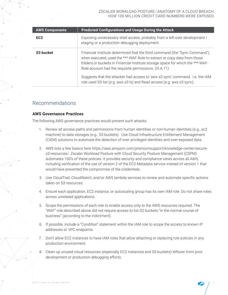| <b>AWS Components</b> | <b>Predicted Configurations and Usage During the Attack</b>                                                                                                                                                                                                                                        |
|-----------------------|----------------------------------------------------------------------------------------------------------------------------------------------------------------------------------------------------------------------------------------------------------------------------------------------------|
| EC <sub>2</sub>       | Exposing unnecessary shell access, probably from a left-over development /<br>staging or a production debugging deployment.                                                                                                                                                                        |
| S <sub>3</sub> bucket | Financial Institute determined that the third command (the "Sync Command"),<br>when executed, used the ***-WAF-Role to extract or copy data from those<br>folders or buckets in Financial Institute storage space for which the ***-WAF-<br>Role account had the requisite permissions. (III.A.11) |
|                       | Suggests that the attacker had access to 'aws s3 sync' command. i.e. the IAM<br>role used S3 list (e.g. aws s3 ls) and Read access (e.g. aws s3 sync).                                                                                                                                             |

## Recommendations

## **AWS Governance Practices**

The following AWS governance practices would prevent such attacks:

- 1. Review all access paths and permissions from human identities or non-human identities (e.g., ec2) machine) to data storages (e.g., S3 buckets). Use Cloud Infrastructure Entitlement Management (CIEM) solutions to automate the detection of over-privileged identities and over-exposed data.
- 2. AWS lists a few basics here https://aws.amazon.com/premiumsupport/knowledge-center/secure- s3-resources/. Zscaler Workload Posture with Cloud Security Posture Management (CSPM) automates 100's of these policies. It provides security and compliance views across all AWS, including verification of the use of version 2 of the EC2 Metadata service instead of version 1 that would have prevented the compromise of the credentials.
- 3. Use CloudTrail, CloudWatch, and/or AWS lambda services to review and automate specific actions taken on S3 resources.
- 4. Ensure each application, EC2 instance, or autoscaling group has its own IAM role. Do not share roles across unrelated applications.
- 5. Scope the permissions of each role to enable access only to the AWS resources required. The "WAF" role described above did not require access to list S3 buckets "in the normal course of business" (according to the indictment).
- 6. If possible, include a "Condition" statement within the IAM role to scope the access to known IP addresses or VPC endpoints.
- 7. Don't allow EC2 instances to have IAM roles that allow attaching or replacing role policies in any production environment.
- 8. Clean up unused cloud resources (especially EC2 instances and S3 buckets) leftover from prior development or production debugging efforts.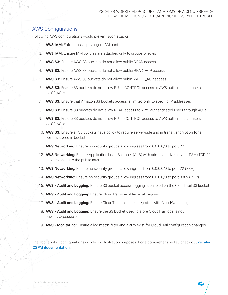## AWS Configurations

Following AWS configurations would prevent such attacks:

- 1. **AWS IAM:** Enforce least privileged IAM controls
- 2. **AWS IAM:** Ensure IAM policies are attached only to groups or roles
- 3. **AWS S3:** Ensure AWS S3 buckets do not allow public READ access
- 4. **AWS S3:** Ensure AWS S3 buckets do not allow public READ\_ACP access
- 5. **AWS S3:** Ensure AWS S3 buckets do not allow public WRITE\_ACP access
- 6. **AWS S3:** Ensure S3 buckets do not allow FULL\_CONTROL access to AWS authenticated users via S3 ACLs
- 7. **AWS S3:** Ensure that Amazon S3 buckets access is limited only to specific IP addresses
- 8. **AWS S3:** Ensure S3 buckets do not allow READ access to AWS authenticated users through ACLs
- 9. **AWS S3:** Ensure S3 buckets do not allow FULL\_CONTROL access to AWS authenticated users via S3 ACLs
- 10. **AWS S3:** Ensure all S3 buckets have policy to require server-side and in transit encryption for all objects stored in bucket
- 11. **AWS Networking:** Ensure no security groups allow ingress from 0.0.0.0/0 to port 22
- 12. **AWS Networking:** Ensure Application Load Balancer (ALB) with administrative service: SSH (TCP:22) is not exposed to the public internet
- 13. **AWS Networking:** Ensure no security groups allow ingress from 0.0.0.0/0 to port 22 (SSH)
- 14. **AWS Networking:** Ensure no security groups allow ingress from 0.0.0.0/0 to port 3389 (RDP)
- 15. **AWS Audit and Logging:** Ensure S3 bucket access logging is enabled on the CloudTrail S3 bucket
- 16. **AWS Audit and Logging:** Ensure CloudTrail is enabled in all regions
- 17. **AWS Audit and Logging:** Ensure CloudTrail trails are integrated with CloudWatch Logs
- 18. **AWS Audit and Logging:** Ensure the S3 bucket used to store CloudTrail logs is not publicly accessible
- 19. **AWS Monitoring:** Ensure a log metric filter and alarm exist for CloudTrail configuration changes.

The above list of configurations is only for illustration purposes. For a comprehensive list, check out Zscaler [CSPM documentation.](https://help.zscaler.com/zcspm/aws-security-policies)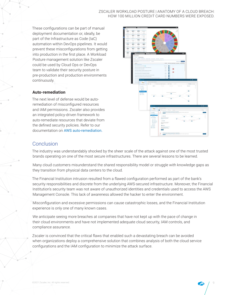These configurations can be part of manual deployment documentation or, ideally, be part of the Infrastructure as Code (IaC) automation within DevOps pipelines. It would prevent these misconfigurations from getting into production in the first place. A Workload Posture management solution like Zscaler could be used by Cloud Ops or DevOps team to validate their security posture in pre-production and production environments continuously.

### **Auto-remediation**

The next level of defense would be autoremediation of misconfigured resources and IAM permissions. Zscaler also provides an integrated policy-driven framework to auto-remediate resources that deviate from the defined security policies. Refer to our documentation on [AWS auto-remediation.](https://help.zscaler.com/remediation/awsRemediation/)



## Conclusion

The industry was understandably shocked by the sheer scale of the attack against one of the most trusted brands operating on one of the most secure infrastructures. There are several lessons to be learned.

Many cloud customers misunderstand the shared responsibility model or struggle with knowledge gaps as they transition from physical data centers to the cloud.

The Financial Institution intrusion resulted from a flawed configuration performed as part of the bank's security responsibilities and discrete from the underlying AWS-secured infrastructure. Moreover, the Financial Institution's security team was not aware of unauthorized identities and credentials used to access the AWS Management Console. This lack of awareness allowed the hacker to enter the environment.

Misconfiguration and excessive permissions can cause catastrophic losses, and the Financial Institution experience is only one of many known cases.

We anticipate seeing more breaches at companies that have not kept up with the pace of change in their cloud environments and have not implemented adequate cloud security, IAM controls, and compliance assurance.

Zscaler is convinced that the critical flaws that enabled such a devastating breach can be avoided when organizations deploy a comprehensive solution that combines analysis of both the cloud service configurations and the IAM configuration to minimize the attack surface.